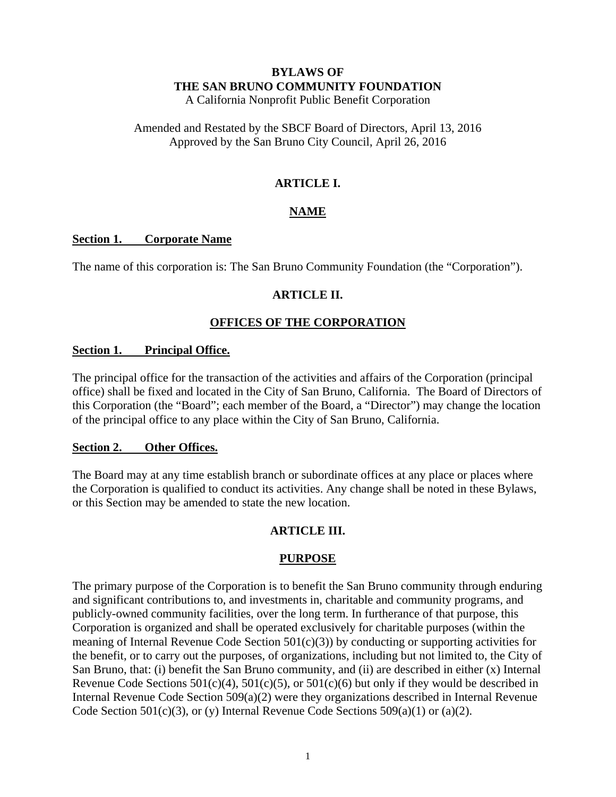# **BYLAWS OF THE SAN BRUNO COMMUNITY FOUNDATION**

A California Nonprofit Public Benefit Corporation

Amended and Restated by the SBCF Board of Directors, April 13, 2016 Approved by the San Bruno City Council, April 26, 2016

# **ARTICLE I.**

# **NAME**

### **Section 1. Corporate Name**

The name of this corporation is: The San Bruno Community Foundation (the "Corporation").

### **ARTICLE II.**

# **OFFICES OF THE CORPORATION**

### **Section 1. Principal Office.**

The principal office for the transaction of the activities and affairs of the Corporation (principal office) shall be fixed and located in the City of San Bruno, California. The Board of Directors of this Corporation (the "Board"; each member of the Board, a "Director") may change the location of the principal office to any place within the City of San Bruno, California.

### **Section 2. Other Offices.**

The Board may at any time establish branch or subordinate offices at any place or places where the Corporation is qualified to conduct its activities. Any change shall be noted in these Bylaws, or this Section may be amended to state the new location.

# **ARTICLE III.**

# **PURPOSE**

The primary purpose of the Corporation is to benefit the San Bruno community through enduring and significant contributions to, and investments in, charitable and community programs, and publicly-owned community facilities, over the long term. In furtherance of that purpose, this Corporation is organized and shall be operated exclusively for charitable purposes (within the meaning of Internal Revenue Code Section 501(c)(3)) by conducting or supporting activities for the benefit, or to carry out the purposes, of organizations, including but not limited to, the City of San Bruno, that: (i) benefit the San Bruno community, and (ii) are described in either (x) Internal Revenue Code Sections  $501(c)(4)$ ,  $501(c)(5)$ , or  $501(c)(6)$  but only if they would be described in Internal Revenue Code Section 509(a)(2) were they organizations described in Internal Revenue Code Section 501(c)(3), or (y) Internal Revenue Code Sections 509(a)(1) or (a)(2).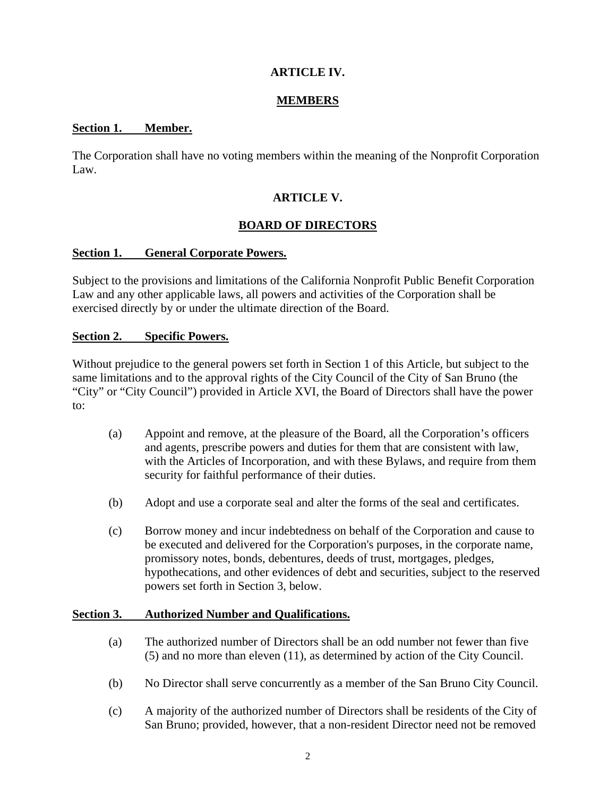# **ARTICLE IV.**

### **MEMBERS**

#### **Section 1. Member.**

The Corporation shall have no voting members within the meaning of the Nonprofit Corporation Law.

### **ARTICLE V.**

### **BOARD OF DIRECTORS**

### **Section 1. General Corporate Powers.**

Subject to the provisions and limitations of the California Nonprofit Public Benefit Corporation Law and any other applicable laws, all powers and activities of the Corporation shall be exercised directly by or under the ultimate direction of the Board.

#### **Section 2. Specific Powers.**

Without prejudice to the general powers set forth in Section 1 of this Article, but subject to the same limitations and to the approval rights of the City Council of the City of San Bruno (the "City" or "City Council") provided in Article XVI, the Board of Directors shall have the power to:

- (a) Appoint and remove, at the pleasure of the Board, all the Corporation's officers and agents, prescribe powers and duties for them that are consistent with law, with the Articles of Incorporation, and with these Bylaws, and require from them security for faithful performance of their duties.
- (b) Adopt and use a corporate seal and alter the forms of the seal and certificates.
- (c) Borrow money and incur indebtedness on behalf of the Corporation and cause to be executed and delivered for the Corporation's purposes, in the corporate name, promissory notes, bonds, debentures, deeds of trust, mortgages, pledges, hypothecations, and other evidences of debt and securities, subject to the reserved powers set forth in Section 3, below.

#### **Section 3. Authorized Number and Qualifications.**

- (a) The authorized number of Directors shall be an odd number not fewer than five (5) and no more than eleven (11), as determined by action of the City Council.
- (b) No Director shall serve concurrently as a member of the San Bruno City Council.
- (c) A majority of the authorized number of Directors shall be residents of the City of San Bruno; provided, however, that a non-resident Director need not be removed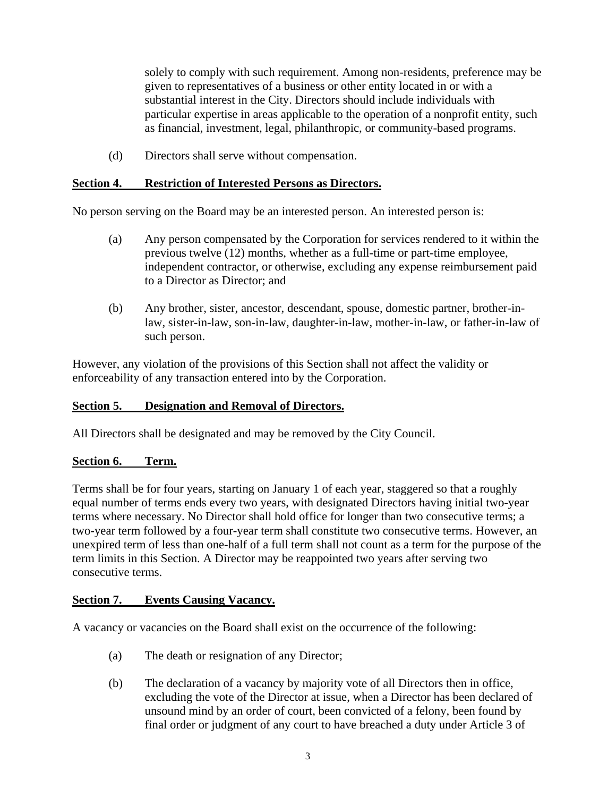solely to comply with such requirement. Among non-residents, preference may be given to representatives of a business or other entity located in or with a substantial interest in the City. Directors should include individuals with particular expertise in areas applicable to the operation of a nonprofit entity, such as financial, investment, legal, philanthropic, or community-based programs.

(d) Directors shall serve without compensation.

### **Section 4. Restriction of Interested Persons as Directors.**

No person serving on the Board may be an interested person. An interested person is:

- (a) Any person compensated by the Corporation for services rendered to it within the previous twelve (12) months, whether as a full-time or part-time employee, independent contractor, or otherwise, excluding any expense reimbursement paid to a Director as Director; and
- (b) Any brother, sister, ancestor, descendant, spouse, domestic partner, brother-inlaw, sister-in-law, son-in-law, daughter-in-law, mother-in-law, or father-in-law of such person.

However, any violation of the provisions of this Section shall not affect the validity or enforceability of any transaction entered into by the Corporation.

# **Section 5. Designation and Removal of Directors.**

All Directors shall be designated and may be removed by the City Council.

### **Section 6. Term.**

Terms shall be for four years, starting on January 1 of each year, staggered so that a roughly equal number of terms ends every two years, with designated Directors having initial two-year terms where necessary. No Director shall hold office for longer than two consecutive terms; a two-year term followed by a four-year term shall constitute two consecutive terms. However, an unexpired term of less than one-half of a full term shall not count as a term for the purpose of the term limits in this Section. A Director may be reappointed two years after serving two consecutive terms.

### **Section 7. Events Causing Vacancy.**

A vacancy or vacancies on the Board shall exist on the occurrence of the following:

- (a) The death or resignation of any Director;
- (b) The declaration of a vacancy by majority vote of all Directors then in office, excluding the vote of the Director at issue, when a Director has been declared of unsound mind by an order of court, been convicted of a felony, been found by final order or judgment of any court to have breached a duty under Article 3 of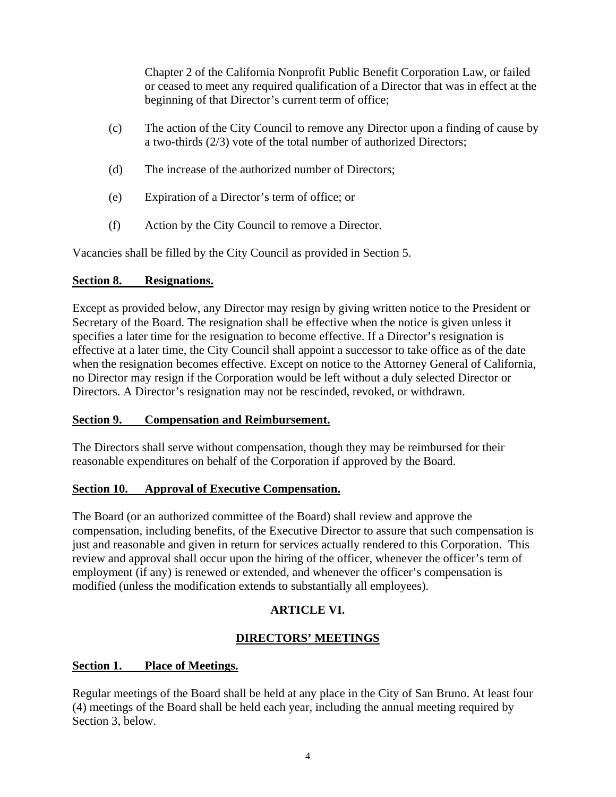Chapter 2 of the California Nonprofit Public Benefit Corporation Law, or failed or ceased to meet any required qualification of a Director that was in effect at the beginning of that Director's current term of office;

- (c) The action of the City Council to remove any Director upon a finding of cause by a two-thirds (2/3) vote of the total number of authorized Directors;
- (d) The increase of the authorized number of Directors;
- (e) Expiration of a Director's term of office; or
- (f) Action by the City Council to remove a Director.

Vacancies shall be filled by the City Council as provided in Section 5.

### **Section 8. Resignations.**

Except as provided below, any Director may resign by giving written notice to the President or Secretary of the Board. The resignation shall be effective when the notice is given unless it specifies a later time for the resignation to become effective. If a Director's resignation is effective at a later time, the City Council shall appoint a successor to take office as of the date when the resignation becomes effective. Except on notice to the Attorney General of California, no Director may resign if the Corporation would be left without a duly selected Director or Directors. A Director's resignation may not be rescinded, revoked, or withdrawn.

### **Section 9. Compensation and Reimbursement.**

The Directors shall serve without compensation, though they may be reimbursed for their reasonable expenditures on behalf of the Corporation if approved by the Board.

### **Section 10. Approval of Executive Compensation.**

The Board (or an authorized committee of the Board) shall review and approve the compensation, including benefits, of the Executive Director to assure that such compensation is just and reasonable and given in return for services actually rendered to this Corporation. This review and approval shall occur upon the hiring of the officer, whenever the officer's term of employment (if any) is renewed or extended, and whenever the officer's compensation is modified (unless the modification extends to substantially all employees).

# **ARTICLE VI.**

# **DIRECTORS' MEETINGS**

### **Section 1. Place of Meetings.**

Regular meetings of the Board shall be held at any place in the City of San Bruno. At least four (4) meetings of the Board shall be held each year, including the annual meeting required by Section 3, below.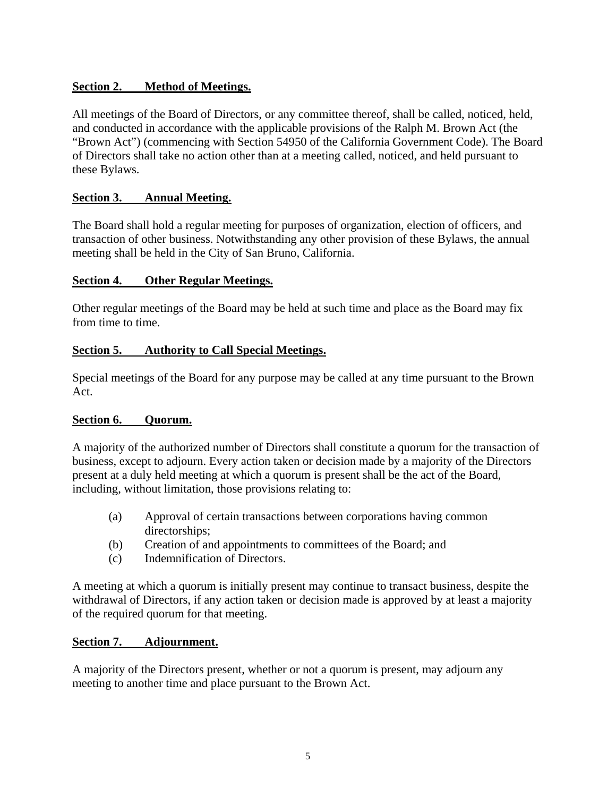# **Section 2. Method of Meetings.**

All meetings of the Board of Directors, or any committee thereof, shall be called, noticed, held, and conducted in accordance with the applicable provisions of the Ralph M. Brown Act (the "Brown Act") (commencing with Section 54950 of the California Government Code). The Board of Directors shall take no action other than at a meeting called, noticed, and held pursuant to these Bylaws.

# **Section 3. Annual Meeting.**

The Board shall hold a regular meeting for purposes of organization, election of officers, and transaction of other business. Notwithstanding any other provision of these Bylaws, the annual meeting shall be held in the City of San Bruno, California.

### **Section 4. Other Regular Meetings.**

Other regular meetings of the Board may be held at such time and place as the Board may fix from time to time.

### **Section 5. Authority to Call Special Meetings.**

Special meetings of the Board for any purpose may be called at any time pursuant to the Brown Act.

### **Section 6. Quorum.**

A majority of the authorized number of Directors shall constitute a quorum for the transaction of business, except to adjourn. Every action taken or decision made by a majority of the Directors present at a duly held meeting at which a quorum is present shall be the act of the Board, including, without limitation, those provisions relating to:

- (a) Approval of certain transactions between corporations having common directorships;
- (b) Creation of and appointments to committees of the Board; and
- (c) Indemnification of Directors.

A meeting at which a quorum is initially present may continue to transact business, despite the withdrawal of Directors, if any action taken or decision made is approved by at least a majority of the required quorum for that meeting.

# **Section 7. Adjournment.**

A majority of the Directors present, whether or not a quorum is present, may adjourn any meeting to another time and place pursuant to the Brown Act.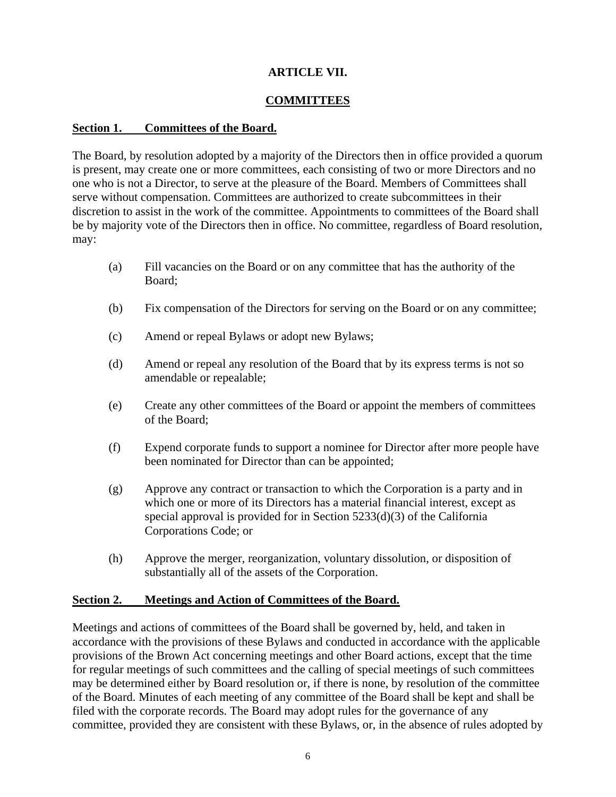# **ARTICLE VII.**

### **COMMITTEES**

#### **Section 1. Committees of the Board.**

The Board, by resolution adopted by a majority of the Directors then in office provided a quorum is present, may create one or more committees, each consisting of two or more Directors and no one who is not a Director, to serve at the pleasure of the Board. Members of Committees shall serve without compensation. Committees are authorized to create subcommittees in their discretion to assist in the work of the committee. Appointments to committees of the Board shall be by majority vote of the Directors then in office. No committee, regardless of Board resolution, may:

- (a) Fill vacancies on the Board or on any committee that has the authority of the Board;
- (b) Fix compensation of the Directors for serving on the Board or on any committee;
- (c) Amend or repeal Bylaws or adopt new Bylaws;
- (d) Amend or repeal any resolution of the Board that by its express terms is not so amendable or repealable;
- (e) Create any other committees of the Board or appoint the members of committees of the Board;
- (f) Expend corporate funds to support a nominee for Director after more people have been nominated for Director than can be appointed;
- (g) Approve any contract or transaction to which the Corporation is a party and in which one or more of its Directors has a material financial interest, except as special approval is provided for in Section 5233(d)(3) of the California Corporations Code; or
- (h) Approve the merger, reorganization, voluntary dissolution, or disposition of substantially all of the assets of the Corporation.

### **Section 2. Meetings and Action of Committees of the Board.**

Meetings and actions of committees of the Board shall be governed by, held, and taken in accordance with the provisions of these Bylaws and conducted in accordance with the applicable provisions of the Brown Act concerning meetings and other Board actions, except that the time for regular meetings of such committees and the calling of special meetings of such committees may be determined either by Board resolution or, if there is none, by resolution of the committee of the Board. Minutes of each meeting of any committee of the Board shall be kept and shall be filed with the corporate records. The Board may adopt rules for the governance of any committee, provided they are consistent with these Bylaws, or, in the absence of rules adopted by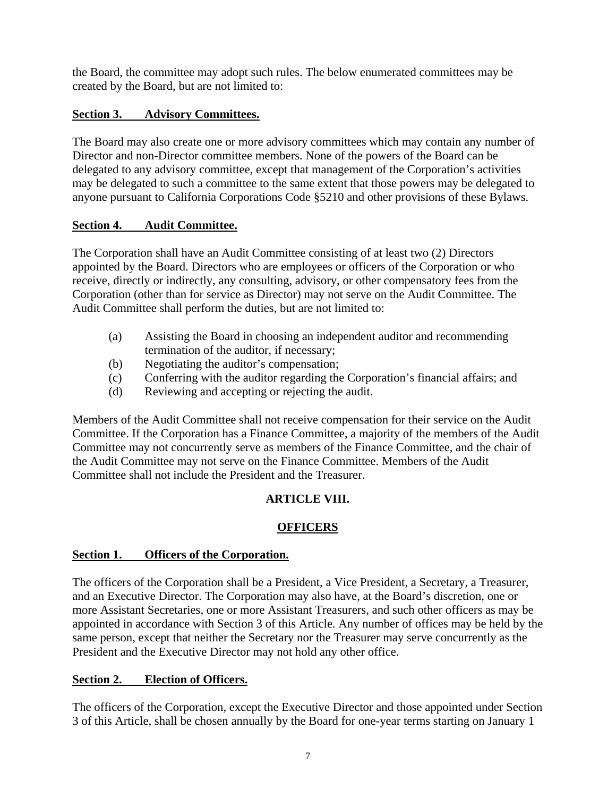the Board, the committee may adopt such rules. The below enumerated committees may be created by the Board, but are not limited to:

# **Section 3. Advisory Committees.**

The Board may also create one or more advisory committees which may contain any number of Director and non-Director committee members. None of the powers of the Board can be delegated to any advisory committee, except that management of the Corporation's activities may be delegated to such a committee to the same extent that those powers may be delegated to anyone pursuant to California Corporations Code §5210 and other provisions of these Bylaws.

### **Section 4. Audit Committee.**

The Corporation shall have an Audit Committee consisting of at least two (2) Directors appointed by the Board. Directors who are employees or officers of the Corporation or who receive, directly or indirectly, any consulting, advisory, or other compensatory fees from the Corporation (other than for service as Director) may not serve on the Audit Committee. The Audit Committee shall perform the duties, but are not limited to:

- (a) Assisting the Board in choosing an independent auditor and recommending termination of the auditor, if necessary;
- (b) Negotiating the auditor's compensation;
- (c) Conferring with the auditor regarding the Corporation's financial affairs; and
- (d) Reviewing and accepting or rejecting the audit.

Members of the Audit Committee shall not receive compensation for their service on the Audit Committee. If the Corporation has a Finance Committee, a majority of the members of the Audit Committee may not concurrently serve as members of the Finance Committee, and the chair of the Audit Committee may not serve on the Finance Committee. Members of the Audit Committee shall not include the President and the Treasurer.

# **ARTICLE VIII.**

# **OFFICERS**

# **Section 1. Officers of the Corporation.**

The officers of the Corporation shall be a President, a Vice President, a Secretary, a Treasurer, and an Executive Director. The Corporation may also have, at the Board's discretion, one or more Assistant Secretaries, one or more Assistant Treasurers, and such other officers as may be appointed in accordance with Section 3 of this Article. Any number of offices may be held by the same person, except that neither the Secretary nor the Treasurer may serve concurrently as the President and the Executive Director may not hold any other office.

# **Section 2. Election of Officers.**

The officers of the Corporation, except the Executive Director and those appointed under Section 3 of this Article, shall be chosen annually by the Board for one-year terms starting on January 1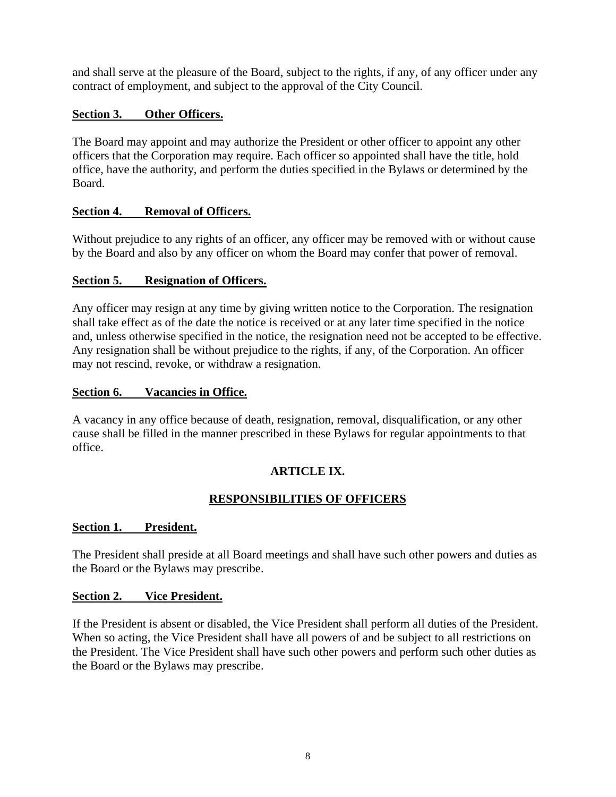and shall serve at the pleasure of the Board, subject to the rights, if any, of any officer under any contract of employment, and subject to the approval of the City Council.

# **Section 3. Other Officers.**

The Board may appoint and may authorize the President or other officer to appoint any other officers that the Corporation may require. Each officer so appointed shall have the title, hold office, have the authority, and perform the duties specified in the Bylaws or determined by the Board.

# **Section 4. Removal of Officers.**

Without prejudice to any rights of an officer, any officer may be removed with or without cause by the Board and also by any officer on whom the Board may confer that power of removal.

# **Section 5. Resignation of Officers.**

Any officer may resign at any time by giving written notice to the Corporation. The resignation shall take effect as of the date the notice is received or at any later time specified in the notice and, unless otherwise specified in the notice, the resignation need not be accepted to be effective. Any resignation shall be without prejudice to the rights, if any, of the Corporation. An officer may not rescind, revoke, or withdraw a resignation.

### **Section 6. Vacancies in Office.**

A vacancy in any office because of death, resignation, removal, disqualification, or any other cause shall be filled in the manner prescribed in these Bylaws for regular appointments to that office.

# **ARTICLE IX.**

# **RESPONSIBILITIES OF OFFICERS**

# **Section 1. President.**

The President shall preside at all Board meetings and shall have such other powers and duties as the Board or the Bylaws may prescribe.

### **Section 2. Vice President.**

If the President is absent or disabled, the Vice President shall perform all duties of the President. When so acting, the Vice President shall have all powers of and be subject to all restrictions on the President. The Vice President shall have such other powers and perform such other duties as the Board or the Bylaws may prescribe.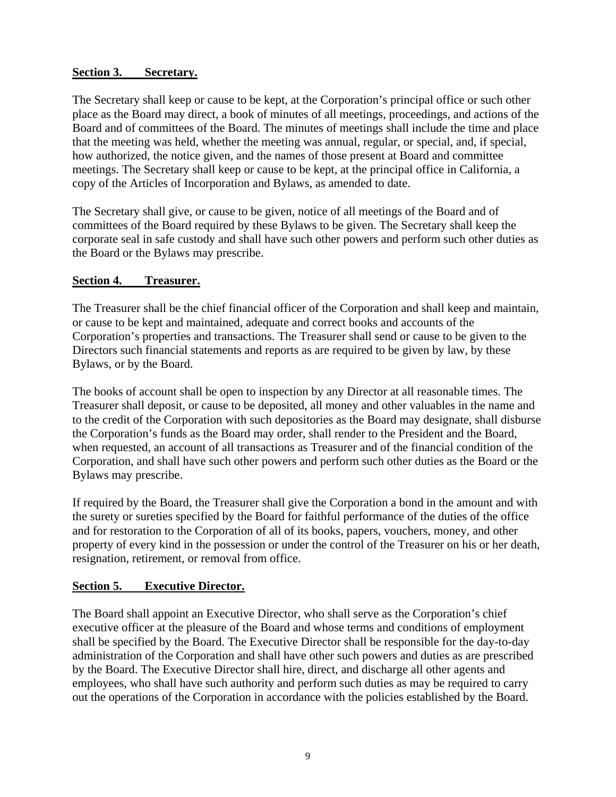# **Section 3. Secretary.**

The Secretary shall keep or cause to be kept, at the Corporation's principal office or such other place as the Board may direct, a book of minutes of all meetings, proceedings, and actions of the Board and of committees of the Board. The minutes of meetings shall include the time and place that the meeting was held, whether the meeting was annual, regular, or special, and, if special, how authorized, the notice given, and the names of those present at Board and committee meetings. The Secretary shall keep or cause to be kept, at the principal office in California, a copy of the Articles of Incorporation and Bylaws, as amended to date.

The Secretary shall give, or cause to be given, notice of all meetings of the Board and of committees of the Board required by these Bylaws to be given. The Secretary shall keep the corporate seal in safe custody and shall have such other powers and perform such other duties as the Board or the Bylaws may prescribe.

### **Section 4. Treasurer.**

The Treasurer shall be the chief financial officer of the Corporation and shall keep and maintain, or cause to be kept and maintained, adequate and correct books and accounts of the Corporation's properties and transactions. The Treasurer shall send or cause to be given to the Directors such financial statements and reports as are required to be given by law, by these Bylaws, or by the Board.

The books of account shall be open to inspection by any Director at all reasonable times. The Treasurer shall deposit, or cause to be deposited, all money and other valuables in the name and to the credit of the Corporation with such depositories as the Board may designate, shall disburse the Corporation's funds as the Board may order, shall render to the President and the Board, when requested, an account of all transactions as Treasurer and of the financial condition of the Corporation, and shall have such other powers and perform such other duties as the Board or the Bylaws may prescribe.

If required by the Board, the Treasurer shall give the Corporation a bond in the amount and with the surety or sureties specified by the Board for faithful performance of the duties of the office and for restoration to the Corporation of all of its books, papers, vouchers, money, and other property of every kind in the possession or under the control of the Treasurer on his or her death, resignation, retirement, or removal from office.

# **Section 5. Executive Director.**

The Board shall appoint an Executive Director, who shall serve as the Corporation's chief executive officer at the pleasure of the Board and whose terms and conditions of employment shall be specified by the Board. The Executive Director shall be responsible for the day-to-day administration of the Corporation and shall have other such powers and duties as are prescribed by the Board. The Executive Director shall hire, direct, and discharge all other agents and employees, who shall have such authority and perform such duties as may be required to carry out the operations of the Corporation in accordance with the policies established by the Board.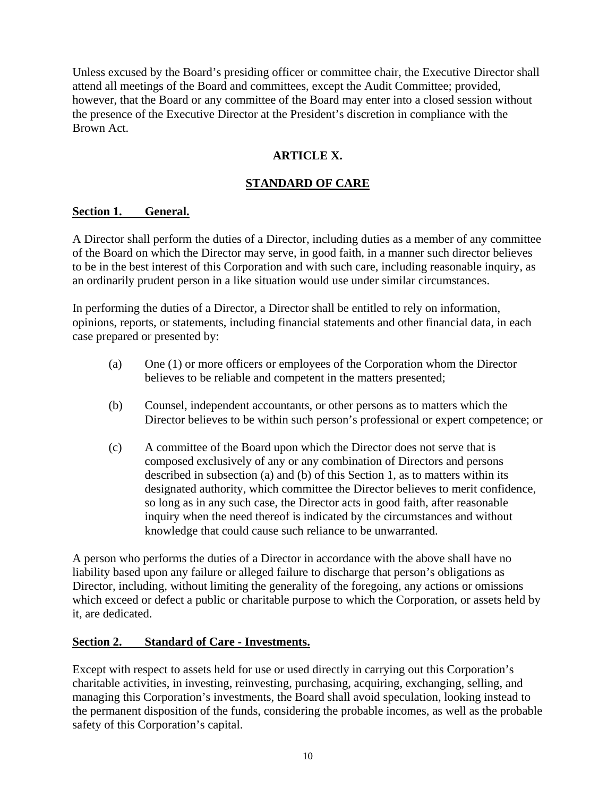Unless excused by the Board's presiding officer or committee chair, the Executive Director shall attend all meetings of the Board and committees, except the Audit Committee; provided, however, that the Board or any committee of the Board may enter into a closed session without the presence of the Executive Director at the President's discretion in compliance with the Brown Act.

# **ARTICLE X.**

# **STANDARD OF CARE**

### **Section 1. General.**

A Director shall perform the duties of a Director, including duties as a member of any committee of the Board on which the Director may serve, in good faith, in a manner such director believes to be in the best interest of this Corporation and with such care, including reasonable inquiry, as an ordinarily prudent person in a like situation would use under similar circumstances.

In performing the duties of a Director, a Director shall be entitled to rely on information, opinions, reports, or statements, including financial statements and other financial data, in each case prepared or presented by:

- (a) One (1) or more officers or employees of the Corporation whom the Director believes to be reliable and competent in the matters presented;
- (b) Counsel, independent accountants, or other persons as to matters which the Director believes to be within such person's professional or expert competence; or
- (c) A committee of the Board upon which the Director does not serve that is composed exclusively of any or any combination of Directors and persons described in subsection (a) and (b) of this Section 1, as to matters within its designated authority, which committee the Director believes to merit confidence, so long as in any such case, the Director acts in good faith, after reasonable inquiry when the need thereof is indicated by the circumstances and without knowledge that could cause such reliance to be unwarranted.

A person who performs the duties of a Director in accordance with the above shall have no liability based upon any failure or alleged failure to discharge that person's obligations as Director, including, without limiting the generality of the foregoing, any actions or omissions which exceed or defect a public or charitable purpose to which the Corporation, or assets held by it, are dedicated.

# **Section 2. Standard of Care - Investments.**

Except with respect to assets held for use or used directly in carrying out this Corporation's charitable activities, in investing, reinvesting, purchasing, acquiring, exchanging, selling, and managing this Corporation's investments, the Board shall avoid speculation, looking instead to the permanent disposition of the funds, considering the probable incomes, as well as the probable safety of this Corporation's capital.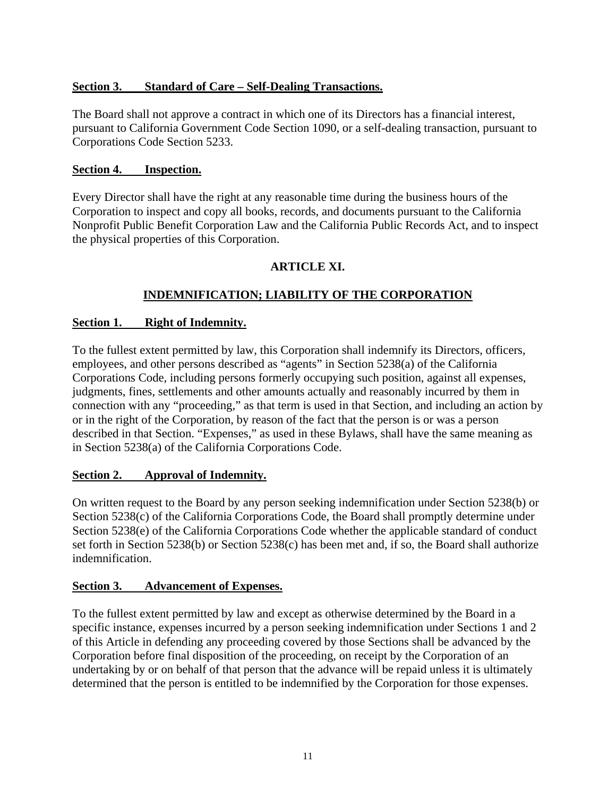### **Section 3. Standard of Care – Self-Dealing Transactions.**

The Board shall not approve a contract in which one of its Directors has a financial interest, pursuant to California Government Code Section 1090, or a self-dealing transaction, pursuant to Corporations Code Section 5233.

### **Section 4. Inspection.**

Every Director shall have the right at any reasonable time during the business hours of the Corporation to inspect and copy all books, records, and documents pursuant to the California Nonprofit Public Benefit Corporation Law and the California Public Records Act, and to inspect the physical properties of this Corporation.

# **ARTICLE XI.**

# **INDEMNIFICATION; LIABILITY OF THE CORPORATION**

### **Section 1. Right of Indemnity.**

To the fullest extent permitted by law, this Corporation shall indemnify its Directors, officers, employees, and other persons described as "agents" in Section 5238(a) of the California Corporations Code, including persons formerly occupying such position, against all expenses, judgments, fines, settlements and other amounts actually and reasonably incurred by them in connection with any "proceeding," as that term is used in that Section, and including an action by or in the right of the Corporation, by reason of the fact that the person is or was a person described in that Section. "Expenses," as used in these Bylaws, shall have the same meaning as in Section 5238(a) of the California Corporations Code.

### **Section 2. Approval of Indemnity.**

On written request to the Board by any person seeking indemnification under Section 5238(b) or Section 5238(c) of the California Corporations Code, the Board shall promptly determine under Section 5238(e) of the California Corporations Code whether the applicable standard of conduct set forth in Section 5238(b) or Section 5238(c) has been met and, if so, the Board shall authorize indemnification.

### **Section 3. Advancement of Expenses.**

To the fullest extent permitted by law and except as otherwise determined by the Board in a specific instance, expenses incurred by a person seeking indemnification under Sections 1 and 2 of this Article in defending any proceeding covered by those Sections shall be advanced by the Corporation before final disposition of the proceeding, on receipt by the Corporation of an undertaking by or on behalf of that person that the advance will be repaid unless it is ultimately determined that the person is entitled to be indemnified by the Corporation for those expenses.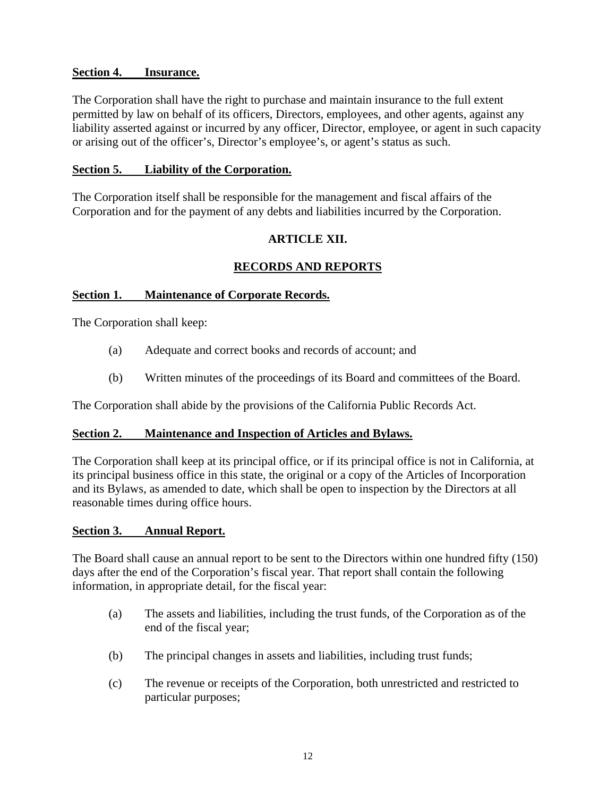### **Section 4. Insurance.**

The Corporation shall have the right to purchase and maintain insurance to the full extent permitted by law on behalf of its officers, Directors, employees, and other agents, against any liability asserted against or incurred by any officer, Director, employee, or agent in such capacity or arising out of the officer's, Director's employee's, or agent's status as such.

### **Section 5. Liability of the Corporation.**

The Corporation itself shall be responsible for the management and fiscal affairs of the Corporation and for the payment of any debts and liabilities incurred by the Corporation.

### **ARTICLE XII.**

# **RECORDS AND REPORTS**

### **Section 1. Maintenance of Corporate Records.**

The Corporation shall keep:

- (a) Adequate and correct books and records of account; and
- (b) Written minutes of the proceedings of its Board and committees of the Board.

The Corporation shall abide by the provisions of the California Public Records Act.

### **Section 2. Maintenance and Inspection of Articles and Bylaws.**

The Corporation shall keep at its principal office, or if its principal office is not in California, at its principal business office in this state, the original or a copy of the Articles of Incorporation and its Bylaws, as amended to date, which shall be open to inspection by the Directors at all reasonable times during office hours.

### **Section 3. Annual Report.**

The Board shall cause an annual report to be sent to the Directors within one hundred fifty (150) days after the end of the Corporation's fiscal year. That report shall contain the following information, in appropriate detail, for the fiscal year:

- (a) The assets and liabilities, including the trust funds, of the Corporation as of the end of the fiscal year;
- (b) The principal changes in assets and liabilities, including trust funds;
- (c) The revenue or receipts of the Corporation, both unrestricted and restricted to particular purposes;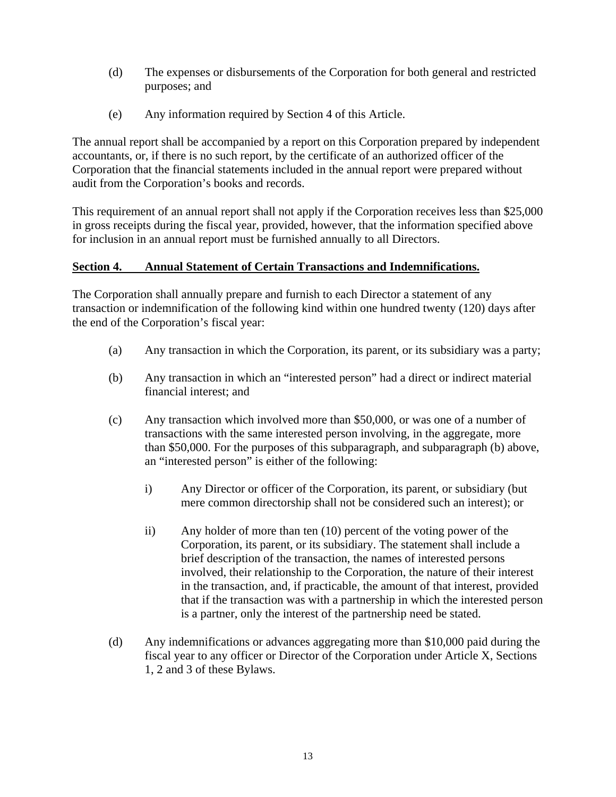- (d) The expenses or disbursements of the Corporation for both general and restricted purposes; and
- (e) Any information required by Section 4 of this Article.

The annual report shall be accompanied by a report on this Corporation prepared by independent accountants, or, if there is no such report, by the certificate of an authorized officer of the Corporation that the financial statements included in the annual report were prepared without audit from the Corporation's books and records.

This requirement of an annual report shall not apply if the Corporation receives less than \$25,000 in gross receipts during the fiscal year, provided, however, that the information specified above for inclusion in an annual report must be furnished annually to all Directors.

### **Section 4. Annual Statement of Certain Transactions and Indemnifications.**

The Corporation shall annually prepare and furnish to each Director a statement of any transaction or indemnification of the following kind within one hundred twenty (120) days after the end of the Corporation's fiscal year:

- (a) Any transaction in which the Corporation, its parent, or its subsidiary was a party;
- (b) Any transaction in which an "interested person" had a direct or indirect material financial interest; and
- (c) Any transaction which involved more than \$50,000, or was one of a number of transactions with the same interested person involving, in the aggregate, more than \$50,000. For the purposes of this subparagraph, and subparagraph (b) above, an "interested person" is either of the following:
	- i) Any Director or officer of the Corporation, its parent, or subsidiary (but mere common directorship shall not be considered such an interest); or
	- ii) Any holder of more than ten (10) percent of the voting power of the Corporation, its parent, or its subsidiary. The statement shall include a brief description of the transaction, the names of interested persons involved, their relationship to the Corporation, the nature of their interest in the transaction, and, if practicable, the amount of that interest, provided that if the transaction was with a partnership in which the interested person is a partner, only the interest of the partnership need be stated.
- (d) Any indemnifications or advances aggregating more than \$10,000 paid during the fiscal year to any officer or Director of the Corporation under Article X, Sections 1, 2 and 3 of these Bylaws.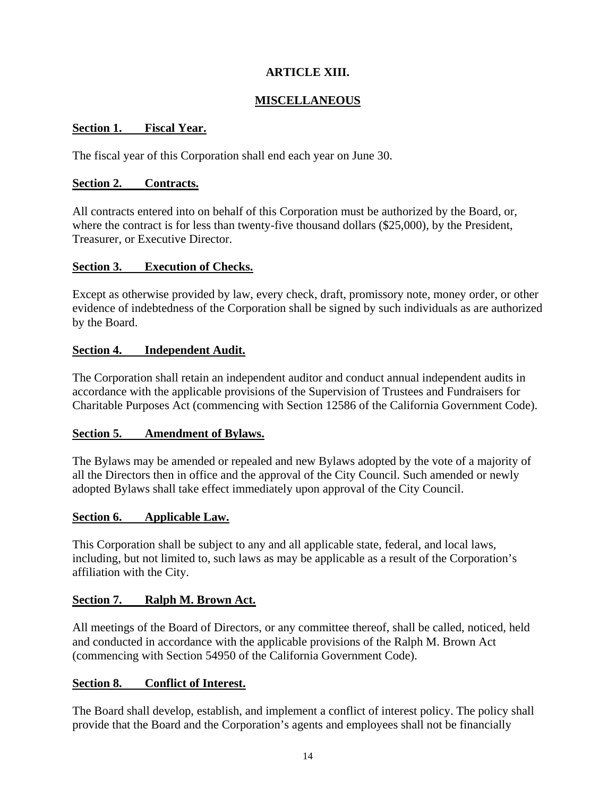# **ARTICLE XIII.**

# **MISCELLANEOUS**

### **Section 1. Fiscal Year.**

The fiscal year of this Corporation shall end each year on June 30.

### **Section 2. Contracts.**

All contracts entered into on behalf of this Corporation must be authorized by the Board, or, where the contract is for less than twenty-five thousand dollars (\$25,000), by the President, Treasurer, or Executive Director.

### **Section 3. Execution of Checks.**

Except as otherwise provided by law, every check, draft, promissory note, money order, or other evidence of indebtedness of the Corporation shall be signed by such individuals as are authorized by the Board.

### **Section 4. Independent Audit.**

The Corporation shall retain an independent auditor and conduct annual independent audits in accordance with the applicable provisions of the Supervision of Trustees and Fundraisers for Charitable Purposes Act (commencing with Section 12586 of the California Government Code).

### **Section 5. Amendment of Bylaws.**

The Bylaws may be amended or repealed and new Bylaws adopted by the vote of a majority of all the Directors then in office and the approval of the City Council. Such amended or newly adopted Bylaws shall take effect immediately upon approval of the City Council.

### **Section 6. Applicable Law.**

This Corporation shall be subject to any and all applicable state, federal, and local laws, including, but not limited to, such laws as may be applicable as a result of the Corporation's affiliation with the City.

### **Section 7. Ralph M. Brown Act.**

All meetings of the Board of Directors, or any committee thereof, shall be called, noticed, held and conducted in accordance with the applicable provisions of the Ralph M. Brown Act (commencing with Section 54950 of the California Government Code).

### **Section 8. Conflict of Interest.**

The Board shall develop, establish, and implement a conflict of interest policy. The policy shall provide that the Board and the Corporation's agents and employees shall not be financially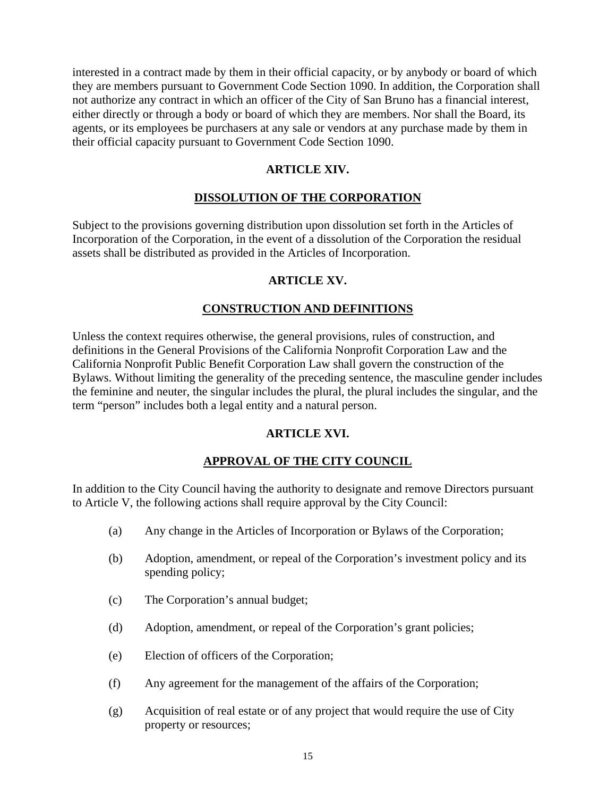interested in a contract made by them in their official capacity, or by anybody or board of which they are members pursuant to Government Code Section 1090. In addition, the Corporation shall not authorize any contract in which an officer of the City of San Bruno has a financial interest, either directly or through a body or board of which they are members. Nor shall the Board, its agents, or its employees be purchasers at any sale or vendors at any purchase made by them in their official capacity pursuant to Government Code Section 1090.

### **ARTICLE XIV.**

### **DISSOLUTION OF THE CORPORATION**

Subject to the provisions governing distribution upon dissolution set forth in the Articles of Incorporation of the Corporation, in the event of a dissolution of the Corporation the residual assets shall be distributed as provided in the Articles of Incorporation.

### **ARTICLE XV.**

# **CONSTRUCTION AND DEFINITIONS**

Unless the context requires otherwise, the general provisions, rules of construction, and definitions in the General Provisions of the California Nonprofit Corporation Law and the California Nonprofit Public Benefit Corporation Law shall govern the construction of the Bylaws. Without limiting the generality of the preceding sentence, the masculine gender includes the feminine and neuter, the singular includes the plural, the plural includes the singular, and the term "person" includes both a legal entity and a natural person.

### **ARTICLE XVI.**

# **APPROVAL OF THE CITY COUNCIL**

In addition to the City Council having the authority to designate and remove Directors pursuant to Article V, the following actions shall require approval by the City Council:

- (a) Any change in the Articles of Incorporation or Bylaws of the Corporation;
- (b) Adoption, amendment, or repeal of the Corporation's investment policy and its spending policy;
- (c) The Corporation's annual budget;
- (d) Adoption, amendment, or repeal of the Corporation's grant policies;
- (e) Election of officers of the Corporation;
- (f) Any agreement for the management of the affairs of the Corporation;
- (g) Acquisition of real estate or of any project that would require the use of City property or resources;